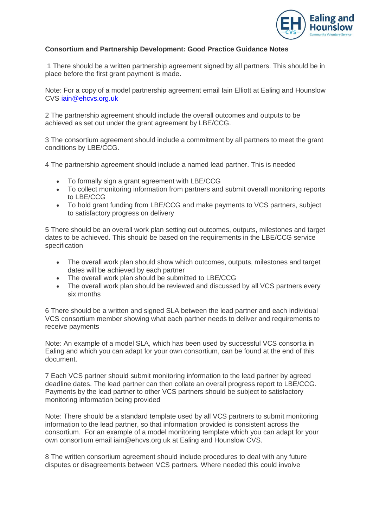

## **Consortium and Partnership Development: Good Practice Guidance Notes**

1 There should be a written partnership agreement signed by all partners. This should be in place before the first grant payment is made.

Note: For a copy of a model partnership agreement email Iain Elliott at Ealing and Hounslow CVS [iain@ehcvs.org.uk](mailto:iain@ehcvs.org.uk)

2 The partnership agreement should include the overall outcomes and outputs to be achieved as set out under the grant agreement by LBE/CCG.

3 The consortium agreement should include a commitment by all partners to meet the grant conditions by LBE/CCG.

- 4 The partnership agreement should include a named lead partner. This is needed
	- To formally sign a grant agreement with LBE/CCG
	- To collect monitoring information from partners and submit overall monitoring reports to LBE/CCG
	- To hold grant funding from LBE/CCG and make payments to VCS partners, subject to satisfactory progress on delivery

5 There should be an overall work plan setting out outcomes, outputs, milestones and target dates to be achieved. This should be based on the requirements in the LBE/CCG service specification

- The overall work plan should show which outcomes, outputs, milestones and target dates will be achieved by each partner
- The overall work plan should be submitted to LBE/CCG
- The overall work plan should be reviewed and discussed by all VCS partners every six months

6 There should be a written and signed SLA between the lead partner and each individual VCS consortium member showing what each partner needs to deliver and requirements to receive payments

Note: An example of a model SLA, which has been used by successful VCS consortia in Ealing and which you can adapt for your own consortium, can be found at the end of this document.

7 Each VCS partner should submit monitoring information to the lead partner by agreed deadline dates. The lead partner can then collate an overall progress report to LBE/CCG. Payments by the lead partner to other VCS partners should be subject to satisfactory monitoring information being provided

Note: There should be a standard template used by all VCS partners to submit monitoring information to the lead partner, so that information provided is consistent across the consortium. For an example of a model monitoring template which you can adapt for your own consortium email iain@ehcvs.org.uk at Ealing and Hounslow CVS.

8 The written consortium agreement should include procedures to deal with any future disputes or disagreements between VCS partners. Where needed this could involve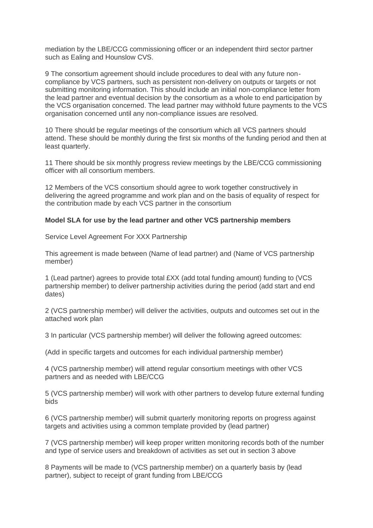mediation by the LBE/CCG commissioning officer or an independent third sector partner such as Ealing and Hounslow CVS.

9 The consortium agreement should include procedures to deal with any future noncompliance by VCS partners, such as persistent non-delivery on outputs or targets or not submitting monitoring information. This should include an initial non-compliance letter from the lead partner and eventual decision by the consortium as a whole to end participation by the VCS organisation concerned. The lead partner may withhold future payments to the VCS organisation concerned until any non-compliance issues are resolved.

10 There should be regular meetings of the consortium which all VCS partners should attend. These should be monthly during the first six months of the funding period and then at least quarterly.

11 There should be six monthly progress review meetings by the LBE/CCG commissioning officer with all consortium members.

12 Members of the VCS consortium should agree to work together constructively in delivering the agreed programme and work plan and on the basis of equality of respect for the contribution made by each VCS partner in the consortium

## **Model SLA for use by the lead partner and other VCS partnership members**

Service Level Agreement For XXX Partnership

This agreement is made between (Name of lead partner) and (Name of VCS partnership member)

1 (Lead partner) agrees to provide total £XX (add total funding amount) funding to (VCS partnership member) to deliver partnership activities during the period (add start and end dates)

2 (VCS partnership member) will deliver the activities, outputs and outcomes set out in the attached work plan

3 In particular (VCS partnership member) will deliver the following agreed outcomes:

(Add in specific targets and outcomes for each individual partnership member)

4 (VCS partnership member) will attend regular consortium meetings with other VCS partners and as needed with LBE/CCG

5 (VCS partnership member) will work with other partners to develop future external funding bids

6 (VCS partnership member) will submit quarterly monitoring reports on progress against targets and activities using a common template provided by (lead partner)

7 (VCS partnership member) will keep proper written monitoring records both of the number and type of service users and breakdown of activities as set out in section 3 above

8 Payments will be made to (VCS partnership member) on a quarterly basis by (lead partner), subject to receipt of grant funding from LBE/CCG